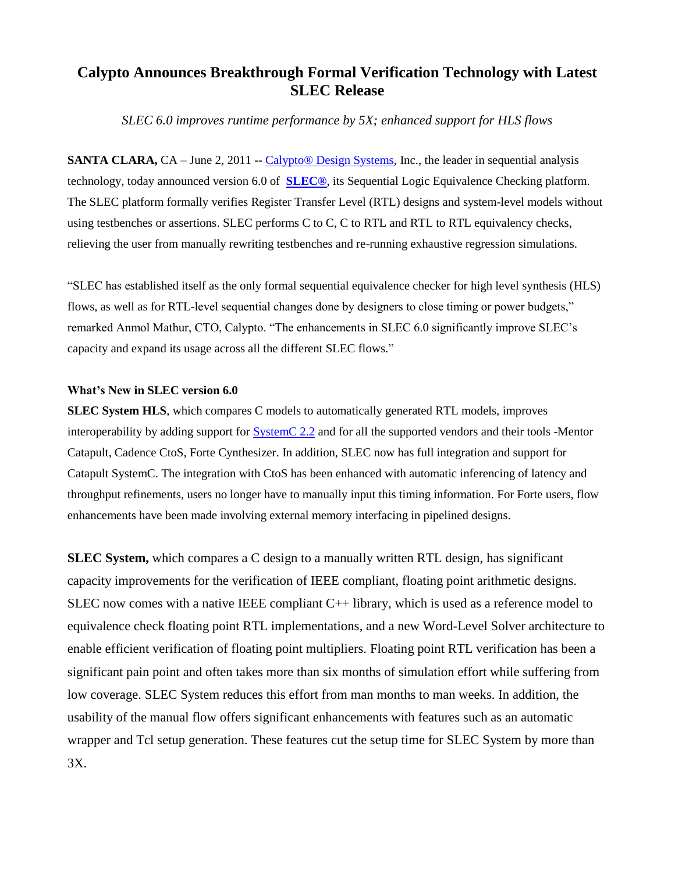## **Calypto Announces Breakthrough Formal Verification Technology with Latest SLEC Release**

*SLEC 6.0 improves runtime performance by 5X; enhanced support for HLS flows*

**SANTA CLARA,** CA – June 2, 2011 -- Calypto<sup>®</sup> Design Systems, Inc., the leader in sequential analysis technology, today announced version 6.0 of **[SLEC®](http://www.calypto.com/slecsystem.php)**, its Sequential Logic Equivalence Checking platform. The SLEC platform formally verifies Register Transfer Level (RTL) designs and system-level models without using testbenches or assertions. SLEC performs C to C, C to RTL and RTL to RTL equivalency checks, relieving the user from manually rewriting testbenches and re-running exhaustive regression simulations.

"SLEC has established itself as the only formal sequential equivalence checker for high level synthesis (HLS) flows, as well as for RTL-level sequential changes done by designers to close timing or power budgets," remarked Anmol Mathur, CTO, Calypto. "The enhancements in SLEC 6.0 significantly improve SLEC's capacity and expand its usage across all the different SLEC flows."

## **What's New in SLEC version 6.0**

**SLEC System HLS**, which compares C models to automatically generated RTL models, improves interoperability by adding support for [SystemC 2.2](http://www.systemc.org/downloads/standards/) and for all the supported vendors and their tools -Mentor Catapult, Cadence CtoS, Forte Cynthesizer. In addition, SLEC now has full integration and support for Catapult SystemC. The integration with CtoS has been enhanced with automatic inferencing of latency and throughput refinements, users no longer have to manually input this timing information. For Forte users, flow enhancements have been made involving external memory interfacing in pipelined designs.

**SLEC System,** which compares a C design to a manually written RTL design, has significant capacity improvements for the verification of IEEE compliant, floating point arithmetic designs. SLEC now comes with a native IEEE compliant  $C_{++}$  library, which is used as a reference model to equivalence check floating point RTL implementations, and a new Word-Level Solver architecture to enable efficient verification of floating point multipliers. Floating point RTL verification has been a significant pain point and often takes more than six months of simulation effort while suffering from low coverage. SLEC System reduces this effort from man months to man weeks. In addition, the usability of the manual flow offers significant enhancements with features such as an automatic wrapper and Tcl setup generation. These features cut the setup time for SLEC System by more than 3X.